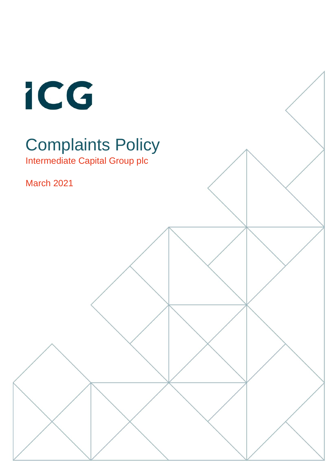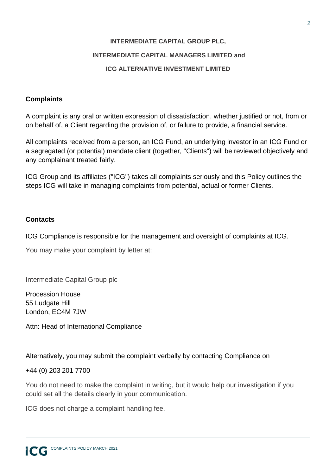# **INTERMEDIATE CAPITAL GROUP PLC, INTERMEDIATE CAPITAL MANAGERS LIMITED and ICG ALTERNATIVE INVESTMENT LIMITED**

## **Complaints**

A complaint is any oral or written expression of dissatisfaction, whether justified or not, from or on behalf of, a Client regarding the provision of, or failure to provide, a financial service.

All complaints received from a person, an ICG Fund, an underlying investor in an ICG Fund or a segregated (or potential) mandate client (together, "Clients") will be reviewed objectively and any complainant treated fairly.

ICG Group and its affiliates ("ICG") takes all complaints seriously and this Policy outlines the steps ICG will take in managing complaints from potential, actual or former Clients.

## **Contacts**

ICG Compliance is responsible for the management and oversight of complaints at ICG.

You may make your complaint by letter at:

Intermediate Capital Group plc

Procession House 55 Ludgate Hill London, EC4M 7JW

Attn: Head of International Compliance

Alternatively, you may submit the complaint verbally by contacting Compliance on

+44 (0) 203 201 7700

You do not need to make the complaint in writing, but it would help our investigation if you could set all the details clearly in your communication.

ICG does not charge a complaint handling fee.